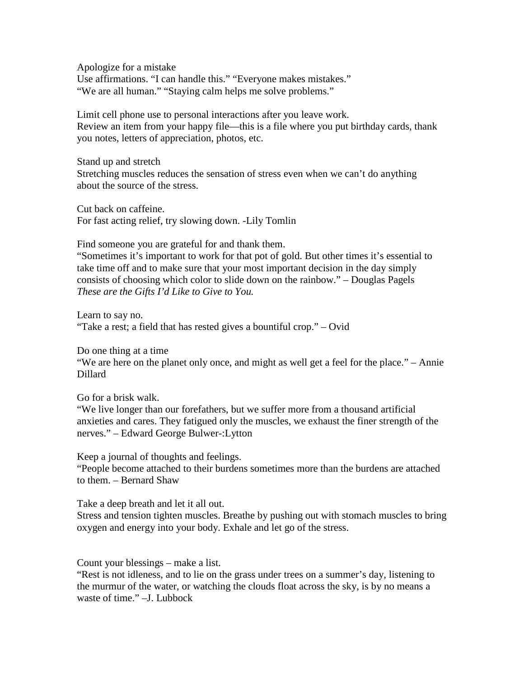Apologize for a mistake Use affirmations. "I can handle this." "Everyone makes mistakes." "We are all human." "Staying calm helps me solve problems."

Limit cell phone use to personal interactions after you leave work. Review an item from your happy file—this is a file where you put birthday cards, thank you notes, letters of appreciation, photos, etc.

Stand up and stretch Stretching muscles reduces the sensation of stress even when we can't do anything about the source of the stress.

Cut back on caffeine. For fast acting relief, try slowing down. -Lily Tomlin

Find someone you are grateful for and thank them.

"Sometimes it's important to work for that pot of gold. But other times it's essential to take time off and to make sure that your most important decision in the day simply consists of choosing which color to slide down on the rainbow." – Douglas Pagels *These are the Gifts I'd Like to Give to You.*

Learn to say no. "Take a rest; a field that has rested gives a bountiful crop." – Ovid

Do one thing at a time

"We are here on the planet only once, and might as well get a feel for the place." – Annie Dillard

Go for a brisk walk.

"We live longer than our forefathers, but we suffer more from a thousand artificial anxieties and cares. They fatigued only the muscles, we exhaust the finer strength of the nerves." – Edward George Bulwer-:Lytton

Keep a journal of thoughts and feelings.

"People become attached to their burdens sometimes more than the burdens are attached to them. – Bernard Shaw

Take a deep breath and let it all out.

Stress and tension tighten muscles. Breathe by pushing out with stomach muscles to bring oxygen and energy into your body. Exhale and let go of the stress.

Count your blessings – make a list.

"Rest is not idleness, and to lie on the grass under trees on a summer's day, listening to the murmur of the water, or watching the clouds float across the sky, is by no means a waste of time." –J. Lubbock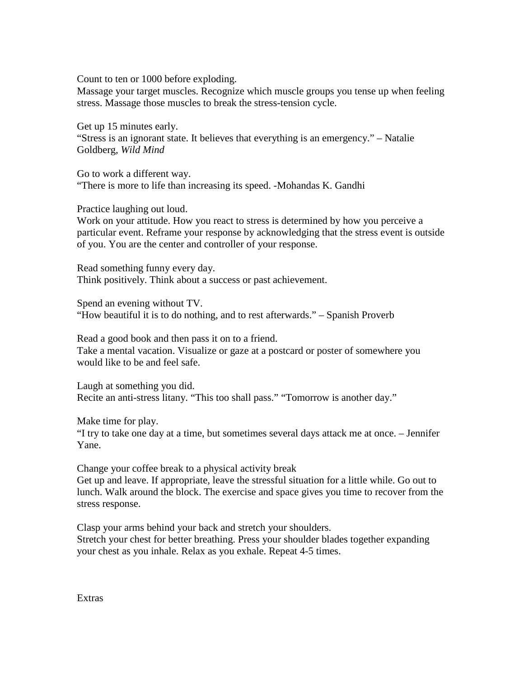Count to ten or 1000 before exploding.

Massage your target muscles. Recognize which muscle groups you tense up when feeling stress. Massage those muscles to break the stress-tension cycle.

Get up 15 minutes early. "Stress is an ignorant state. It believes that everything is an emergency." – Natalie Goldberg, *Wild Mind*

Go to work a different way. "There is more to life than increasing its speed. -Mohandas K. Gandhi

Practice laughing out loud.

Work on your attitude. How you react to stress is determined by how you perceive a particular event. Reframe your response by acknowledging that the stress event is outside of you. You are the center and controller of your response.

Read something funny every day. Think positively. Think about a success or past achievement.

Spend an evening without TV. "How beautiful it is to do nothing, and to rest afterwards." – Spanish Proverb

Read a good book and then pass it on to a friend. Take a mental vacation. Visualize or gaze at a postcard or poster of somewhere you would like to be and feel safe.

Laugh at something you did. Recite an anti-stress litany. "This too shall pass." "Tomorrow is another day."

Make time for play.

"I try to take one day at a time, but sometimes several days attack me at once. – Jennifer Yane.

Change your coffee break to a physical activity break

Get up and leave. If appropriate, leave the stressful situation for a little while. Go out to lunch. Walk around the block. The exercise and space gives you time to recover from the stress response.

Clasp your arms behind your back and stretch your shoulders. Stretch your chest for better breathing. Press your shoulder blades together expanding your chest as you inhale. Relax as you exhale. Repeat 4-5 times.